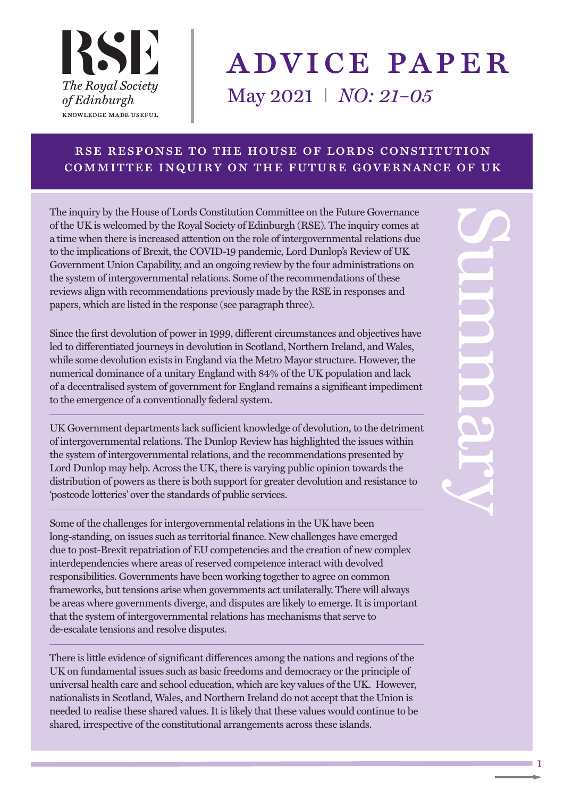

# advice paper May 2021 I *NO: 21–05*

#### rse response to the house of lords constitution committee inquiry on the future governance of uk

The inquiry by the House of Lords Constitution Committee on the Future Governance of the UK is welcomed by the Royal Society of Edinburgh (RSE). The inquiry comes at a time when there is increased attention on the role of intergovernmental relations due to the implications of Brexit, the COVID-19 pandemic, Lord Dunlop's Review of UK Government Union Capability, and an ongoing review by the four administrations on the system of intergovernmental relations. Some of the recommendations of these reviews align with recommendations previously made by the RSE in responses and papers, which are listed in the response (see paragraph three).

Since the first devolution of power in 1999, different circumstances and objectives have led to differentiated journeys in devolution in Scotland, Northern Ireland, and Wales, while some devolution exists in England via the Metro Mayor structure. However, the numerical dominance of a unitary England with 84% of the UK population and lack of a decentralised system of government for England remains a significant impediment to the emergence of a conventionally federal system.

UK Government departments lack sufficient knowledge of devolution, to the detriment of intergovernmental relations. The Dunlop Review has highlighted the issues within the system of intergovernmental relations, and the recommendations presented by Lord Dunlop may help. Across the UK, there is varying public opinion towards the distribution of powers as there is both support for greater devolution and resistance to 'postcode lotteries' over the standards of public services.

Some of the challenges for intergovernmental relations in the UK have been long-standing, on issues such as territorial finance. New challenges have emerged due to post-Brexit repatriation of EU competencies and the creation of new complex interdependencies where areas of reserved competence interact with devolved responsibilities. Governments have been working together to agree on common frameworks, but tensions arise when governments act unilaterally. There will always be areas where governments diverge, and disputes are likely to emerge. It is important that the system of intergovernmental relations has mechanisms that serve to de-escalate tensions and resolve disputes.

There is little evidence of significant differences among the nations and regions of the UK on fundamental issues such as basic freedoms and democracy or the principle of universal health care and school education, which are key values of the UK. However, nationalists in Scotland, Wales, and Northern Ireland do not accept that the Union is needed to realise these shared values. It is likely that these values would continue to be shared, irrespective of the constitutional arrangements across these islands.

1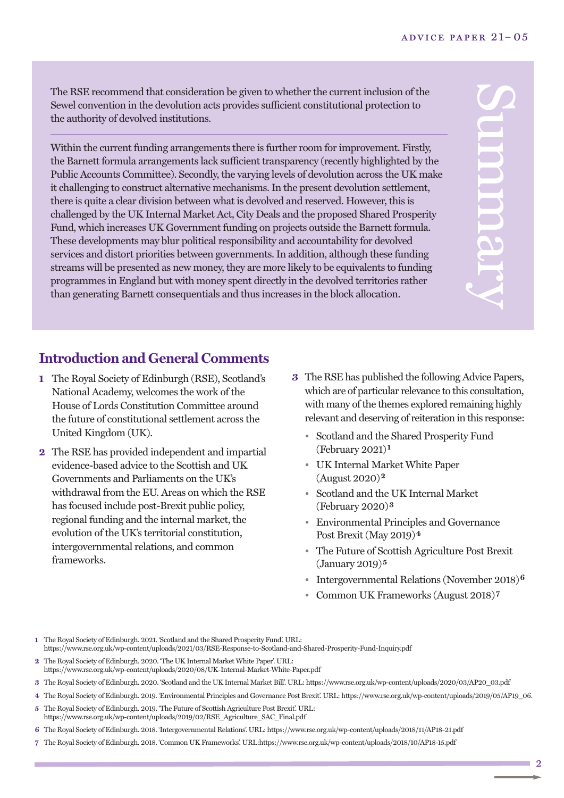The RSE recommend that consideration be given to whether the current inclusion of the Sewel convention in the devolution acts provides sufficient constitutional protection to the authority of devolved institutions.

Within the current funding arrangements there is further room for improvement. Firstly, the Barnett formula arrangements lack sufficient transparency (recently highlighted by the Public Accounts Committee). Secondly, the varying levels of devolution across the UK make it challenging to construct alternative mechanisms. In the present devolution settlement, there is quite a clear division between what is devolved and reserved. However, this is challenged by the UK Internal Market Act, City Deals and the proposed Shared Prosperity Fund, which increases UK Government funding on projects outside the Barnett formula. These developments may blur political responsibility and accountability for devolved services and distort priorities between governments. In addition, although these funding streams will be presented as new money, they are more likely to be equivalents to funding programmes in England but with money spent directly in the devolved territories rather than generating Barnett consequentials and thus increases in the block allocation.

 $\mathbf{C}$ **p** m m a r  $\prec$ 

#### **Introduction and General Comments**

- **1** The Royal Society of Edinburgh (RSE), Scotland's National Academy, welcomes the work of the House of Lords Constitution Committee around the future of constitutional settlement across the United Kingdom (UK).
- **2** The RSE has provided independent and impartial evidence-based advice to the Scottish and UK Governments and Parliaments on the UK's withdrawal from the EU. Areas on which the RSE has focused include post-Brexit public policy, regional funding and the internal market, the evolution of the UK's territorial constitution, intergovernmental relations, and common frameworks.
- **3** The RSE has published the following Advice Papers, which are of particular relevance to this consultation, with many of the themes explored remaining highly relevant and deserving of reiteration in this response:
	- Scotland and the Shared Prosperity Fund (February 2021)**1**
	- UK Internal Market White Paper (August 2020)**2**
	- Scotland and the UK Internal Market (February 2020)**3**
	- Environmental Principles and Governance Post Brexit (May 2019)**4**
	- The Future of Scottish Agriculture Post Brexit (January 2019)**5**
	- Intergovernmental Relations (November 2018)**6**
	- Common UK Frameworks (August 2018)**7**

**1** The Royal Society of Edinburgh. 2021. 'Scotland and the Shared Prosperity Fund'. URL: https://www.rse.org.uk/wp-content/uploads/2021/03/RSE-Response-to-Scotland-and-Shared-Prosperity-Fund-Inquiry.pdf

- **2** The Royal Society of Edinburgh. 2020. 'The UK Internal Market White Paper'. URL: https://www.rse.org.uk/wp-content/uploads/2020/08/UK-Internal-Market-White-Paper.pdf
- **3** The Royal Society of Edinburgh. 2020. 'Scotland and the UK Internal Market Bill'. URL: https://www.rse.org.uk/wp-content/uploads/2020/03/AP20\_03.pdf
- **4** The Royal Society of Edinburgh. 2019. 'Environmental Principles and Governance Post Brexit'. URL: https://www.rse.org.uk/wp-content/uploads/2019/05/AP19\_06. **5** The Royal Society of Edinburgh. 2019. 'The Future of Scottish Agriculture Post Brexit'. URL:
- https://www.rse.org.uk/wp-content/uploads/2019/02/RSE\_Agriculture\_SAC\_Final.pdf
- **6** The Royal Society of Edinburgh. 2018. 'Intergovernmental Relations'. URL: https://www.rse.org.uk/wp-content/uploads/2018/11/AP18-21.pdf
- **7** The Royal Society of Edinburgh. 2018. 'Common UK Frameworks'. URL:https://www.rse.org.uk/wp-content/uploads/2018/10/AP18-15.pdf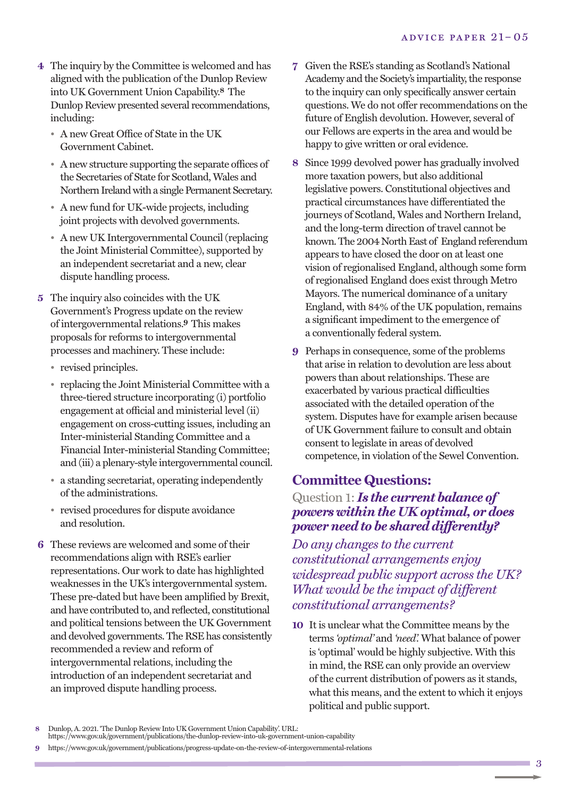- **4** The inquiry by the Committee is welcomed and has aligned with the publication of the Dunlop Review into UK Government Union Capability. **8** The Dunlop Review presented several recommendations, including:
	- A new Great Office of State in the UK Government Cabinet.
	- Anew structure supporting the separate offices of the Secretaries of State for Scotland, Wales and Northern Ireland with a single Permanent Secretary.
	- A new fund for UK-wide projects, including joint projects with devolved governments.
	- A new UK Intergovernmental Council(replacing the Joint Ministerial Committee), supported by an independent secretariat and a new, clear dispute handling process.
- **5** The inquiry also coincides with the UK Government's Progress update on the review of intergovernmental relations. **9** This makes proposals for reforms to intergovernmental processes and machinery. These include:
	- revised principles.
	- replacing the Joint Ministerial Committee with a three-tiered structure incorporating (i) portfolio engagement at official and ministerial level (ii) engagement on cross-cutting issues, including an Inter-ministerial Standing Committee and a Financial Inter-ministerial Standing Committee; and (iii) a plenary-style intergovernmental council.
	- a standing secretariat, operating independently of the administrations.
	- revised procedures for dispute avoidance and resolution.
- **6** These reviews are welcomed and some of their recommendations align with RSE's earlier representations. Our work to date has highlighted weaknesses in the UK's intergovernmental system. These pre-dated but have been amplified by Brexit, and have contributed to, and reflected, constitutional and political tensions between the UK Government and devolved governments. The RSE has consistently recommended a review and reform of intergovernmental relations, including the introduction of an independent secretariat and an improved dispute handling process.
- **7** Given the RSE's standing as Scotland's National Academy and the Society's impartiality, the response to the inquiry can only specifically answer certain questions. We do not offer recommendations on the future of English devolution. However, several of our Fellows are experts in the area and would be happy to give written or oral evidence.
- **8** Since 1999 devolved power has gradually involved more taxation powers, but also additional legislative powers. Constitutional objectives and practical circumstances have differentiated the journeys of Scotland, Wales and Northern Ireland, and the long-term direction of travel cannot be known. The 2004 North East of England referendum appears to have closed the door on at least one vision of regionalised England, although some form of regionalised England does exist through Metro Mayors. The numerical dominance of a unitary England, with 84% of the UK population, remains a significant impediment to the emergence of a conventionally federal system.
- **9** Perhaps in consequence, some of the problems that arise in relation to devolution are less about powers than about relationships. These are exacerbated by various practical difficulties associated with the detailed operation of the system. Disputes have for example arisen because of UK Government failure to consult and obtain consent to legislate in areas of devolved competence, in violation of the Sewel Convention.

## **Committee Questions:**

#### Question 1: *Is the current balance of powers within the UK optimal, or does power need to be shared differently?*

*Do any changes to the current constitutional arrangements enjoy widespread public support across the UK? What would be the impact of different constitutional arrangements?*

**10** It is unclear what the Committee means by the terms *'optimal'* and *'need'.* What balance of power is 'optimal' would be highly subjective. With this in mind, the RSE can only provide an overview of the current distribution of powers as it stands, what this means, and the extent to which it enjoys political and public support.

**<sup>8</sup>** Dunlop, A. 2021. 'The Dunlop Review Into UK Government Union Capability'. URL: https://www.gov.uk/government/publications/the-dunlop-review-into-uk-government-union-capability

**<sup>9</sup>** https://www.gov.uk/government/publications/progress-update-on-the-review-of-intergovernmental-relations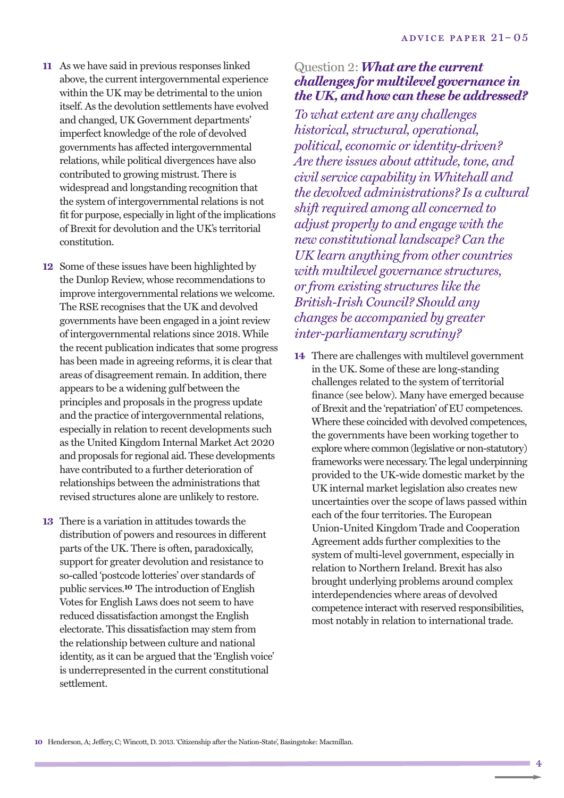- **11** As we have said in previous responses linked above, the current intergovernmental experience within the UK may be detrimental to the union itself. As the devolution settlements have evolved and changed, UK Government departments' imperfect knowledge of the role of devolved governments has affected intergovernmental relations, while political divergences have also contributed to growing mistrust. There is widespread and longstanding recognition that the system of intergovernmental relations is not fit for purpose, especially in light of the implications of Brexit for devolution and the UK's territorial constitution.
- **12** Some of these issues have been highlighted by the Dunlop Review, whose recommendations to improve intergovernmental relations we welcome. The RSE recognises that the UK and devolved governments have been engaged in a joint review of intergovernmental relations since 2018. While the recent publication indicates that some progress has been made in agreeing reforms, it is clear that areas of disagreement remain. In addition, there appears to be a widening gulf between the principles and proposals in the progress update and the practice of intergovernmental relations, especially in relation to recent developments such as the United Kingdom Internal Market Act 2020 and proposals for regional aid. These developments have contributed to a further deterioration of relationships between the administrations that revised structures alone are unlikely to restore.
- **13** There is a variation in attitudes towards the distribution of powers and resources in different parts of the UK. There is often, paradoxically, support for greater devolution and resistance to so-called 'postcode lotteries' over standards of public services. **10** The introduction of English Votes for English Laws does not seem to have reduced dissatisfaction amongst the English electorate. This dissatisfaction may stem from the relationship between culture and national identity, as it can be argued that the 'English voice' is underrepresented in the current constitutional settlement.

#### Question 2:*What are the current challenges for multilevel governance in the UK, and how can these be addressed?*

*To what extent are any challenges historical, structural, operational, political, economic or identity-driven? Are there issues about attitude, tone, and civil service capability in Whitehall and the devolved administrations? Is a cultural shift required among all concerned to adjust properly to and engage with the new constitutional landscape? Can the UK learn anything from other countries with multilevel governance structures, or from existing structures like the British-Irish Council? Should any changes be accompanied by greater inter-parliamentary scrutiny?*

**14** There are challenges with multilevel government in the UK. Some of these are long-standing challenges related to the system of territorial finance (see below). Many have emerged because of Brexit and the 'repatriation' of EU competences. Where these coincided with devolved competences, the governments have been working together to explore where common (legislative or non-statutory) frameworks were necessary.The legal underpinning provided to the UK-wide domestic market by the UK internal market legislation also creates new uncertainties over the scope of laws passed within each of the four territories. The European Union-United Kingdom Trade and Cooperation Agreement adds further complexities to the system of multi-level government, especially in relation to Northern Ireland. Brexit has also brought underlying problems around complex interdependencies where areas of devolved competence interact with reserved responsibilities, most notably in relation to international trade.

4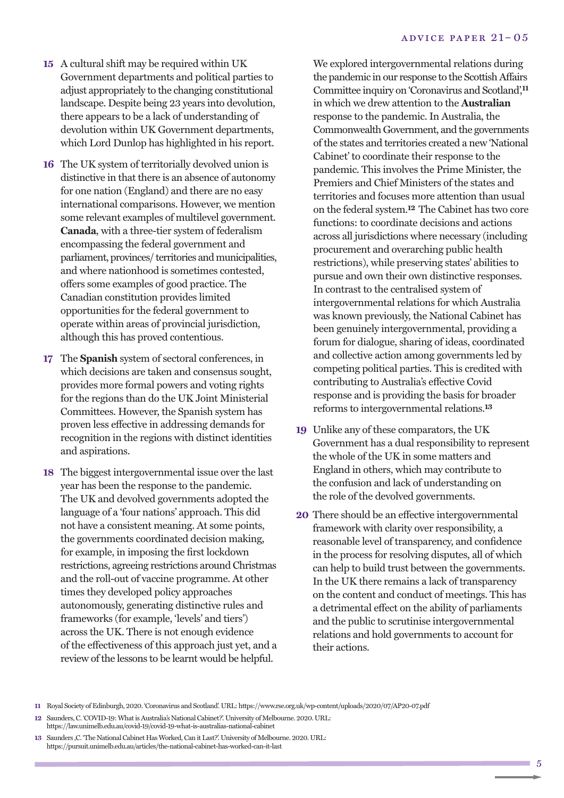- **15** A cultural shift may be required within UK Government departments and political parties to adjust appropriately to the changing constitutional landscape. Despite being 23 years into devolution, there appears to be a lack of understanding of devolution within UK Government departments, which Lord Dunlop has highlighted in his report.
- **16** The UK system of territorially devolved union is distinctive in that there is an absence of autonomy for one nation (England) and there are no easy international comparisons. However, we mention some relevant examples of multilevel government. **Canada**, with a three-tier system of federalism encompassing the federal government and parliament, provinces/ territories and municipalities, and where nationhood is sometimes contested, offers some examples of good practice. The Canadian constitution provides limited opportunities for the federal government to operate within areas of provincial jurisdiction, although this has proved contentious.
- **17** The **Spanish** system of sectoral conferences, in which decisions are taken and consensus sought, provides more formal powers and voting rights for the regions than do the UK Joint Ministerial Committees. However, the Spanish system has proven less effective in addressing demands for recognition in the regions with distinct identities and aspirations.
- **18** The biggest intergovernmental issue over the last year has been the response to the pandemic. The UK and devolved governments adopted the language of a 'four nations' approach. This did not have a consistent meaning. At some points, the governments coordinated decision making, for example, in imposing the first lockdown restrictions, agreeing restrictions around Christmas and the roll-out of vaccine programme. At other times they developed policy approaches autonomously, generating distinctive rules and frameworks (for example, 'levels' and tiers') across the UK. There is not enough evidence of the effectiveness of this approach just yet, and a review of the lessons to be learnt would be helpful.

We explored intergovernmental relations during the pandemic in our response to the ScottishAffairs Committee inquiry on 'Coronavirus and Scotland', **11** in which we drew attention to the **Australian** response to the pandemic. In Australia, the Commonwealth Government, and the governments of the states and territories created a new 'National Cabinet' to coordinate their response to the pandemic. This involves the Prime Minister, the Premiers and Chief Ministers of the states and territories and focuses more attention than usual on the federal system. **12** The Cabinet has two core functions: to coordinate decisions and actions across all jurisdictions where necessary (including procurement and overarching public health restrictions), while preserving states' abilities to pursue and own their own distinctive responses. In contrast to the centralised system of intergovernmental relations for which Australia was known previously, the National Cabinet has been genuinely intergovernmental, providing a forum for dialogue, sharing of ideas, coordinated and collective action among governments led by competing political parties. This is credited with contributing to Australia's effective Covid response and is providing the basis for broader reforms to intergovernmental relations. **13**

- **19** Unlike any of these comparators, the UK Government has a dual responsibility to represent the whole of the UK in some matters and England in others, which may contribute to the confusion and lack of understanding on the role of the devolved governments.
- **20** There should be an effective intergovernmental framework with clarity over responsibility, a reasonable level of transparency, and confidence in the process for resolving disputes, all of which can help to build trust between the governments. In the UK there remains a lack of transparency on the content and conduct of meetings. This has a detrimental effect on the ability of parliaments and the public to scrutinise intergovernmental relations and hold governments to account for their actions.

11 Royal Society of Edinburgh, 2020. 'Coronavirus and Scotland'. URL: https://www.rse.org.uk/wp-content/uploads/2020/07/AP20-07.pdf

- 12 Saunders, C. 'COVID-19: What is Australia's National Cabinet?'. University of Melbourne. 2020. URL: https://law.unimelb.edu.au/covid-19/covid-19-what-is-australias-national-cabinet
- 13 Saunders , C. 'The National Cabinet Has Worked, Can it Last?'. University of Melbourne. 2020. URL: https://pursuit.unimelb.edu.au/articles/the-national-cabinet-has-worked-can-it-last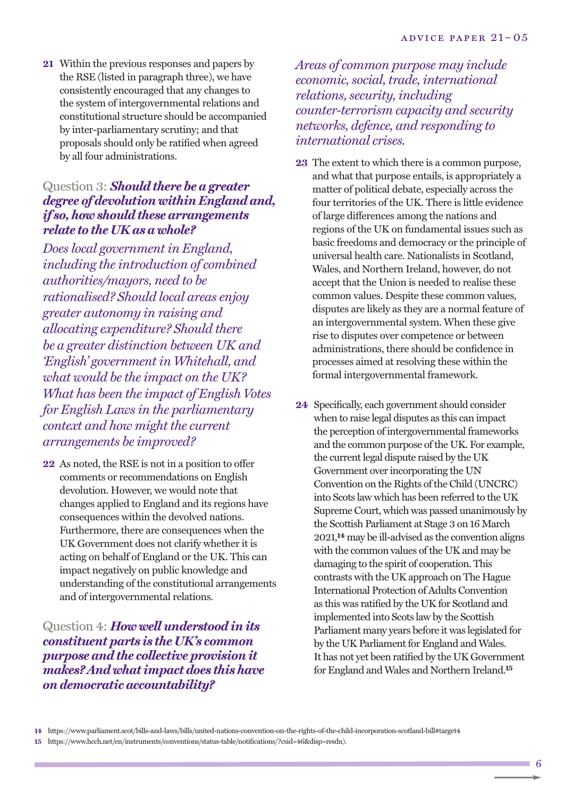**21** Within the previous responses and papers by the RSE (listed in paragraph three), we have consistently encouraged that any changes to the system of intergovernmental relations and constitutional structure should be accompanied by inter-parliamentary scrutiny; and that proposals should only be ratified when agreed by all four administrations.

#### Question 3: *Should there be a greater degree of devolution withinEngland and, if so, how should these arrangements relate to the UK as a whole?*

*Does local government in England, including the introduction of combined authorities/mayors, need to be rationalised? Should local areas enjoy greater autonomy in raising and allocating expenditure? Should there be a greater distinction between UK and 'English' government in Whitehall, and what would be the impact on the UK? What has been the impact of English Votes for English Laws in the parliamentary context and how might the current arrangements be improved?*

**22** As noted, the RSE is not in a position to offer comments or recommendations on English devolution. However, we would note that changes applied to England and its regions have consequences within the devolved nations. Furthermore, there are consequences when the UK Government does not clarify whether it is acting on behalf of England or the UK. This can impact negatively on public knowledge and understanding of the constitutional arrangements and of intergovernmental relations.

Question 4: *How well understood in its constituent parts is the UK's common purpose and the collective provision it makes? And whatimpact does this have on democratic accountability?*

*Areas of common purpose may include economic, social, trade, international relations, security, including counter-terrorism capacity and security networks, defence, and responding to international crises.*

- **23** The extent to which there is a common purpose, and what that purpose entails, is appropriately a matter of political debate, especially across the four territories of the UK. There is little evidence of large differences among the nations and regions of the UK on fundamental issues such as basic freedoms and democracy or the principle of universal health care. Nationalists in Scotland, Wales, and Northern Ireland, however, do not accept that the Union is needed to realise these common values. Despite these common values, disputes are likely as they are a normal feature of an intergovernmental system. When these give rise to disputes over competence or between administrations, there should be confidence in processes aimed at resolving these within the formal intergovernmental framework.
- **24** Specifically, each government should consider when to raise legal disputes as this can impact the perception of intergovernmental frameworks and the common purpose of the UK. For example, the current legal dispute raised by the UK Government over incorporating the UN Convention on the Rights of the Child (UNCRC) into Scots law which has been referred to the UK Supreme Court, which was passed unanimously by the Scottish Parliament at Stage 3 on 16 March 2021, **14** may be ill-advised as the convention aligns with the common values of the UK and may be damaging to the spirit of cooperation. This contrasts with the UK approach on The Hague International Protection of Adults Convention as this was ratified by the UK for Scotland and implemented into Scots law by the Scottish Parliament many years before it was legislated for by the UK Parliament for England and Wales. It has not yet been ratified by the UK Government for England and Wales and Northern Ireland. **15**

**<sup>14</sup>** https://www.parliament.scot/bills-and-laws/bills/united-nations-convention-on-the-rights-of-the-child-incorporation-scotland-bill#target4

**<sup>15</sup>** https://www.hcch.net/en/instruments/conventions/status-table/notifications/?csid=46&disp=resdn).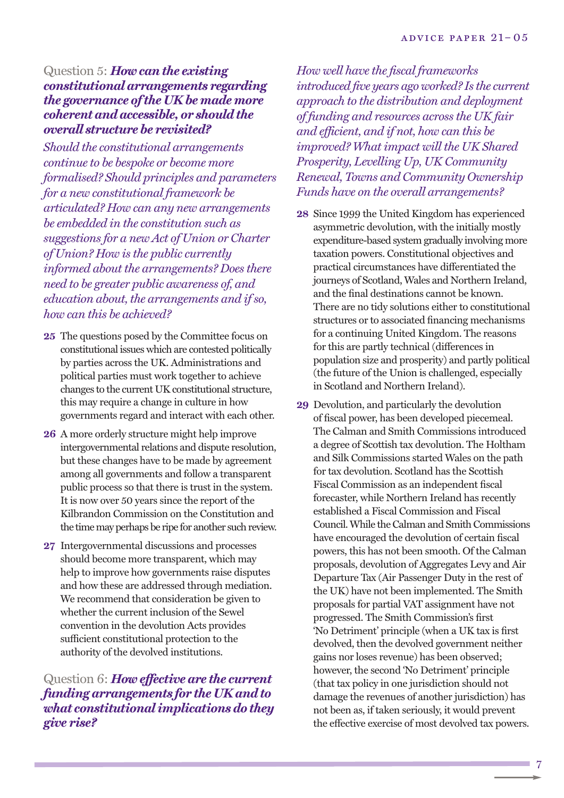#### Question 5: *How can the existing constitutional arrangements regarding the governance ofthe UK be made more coherent and accessible, or should the overall structure be revisited?*

*Should the constitutional arrangements continue to be bespoke or become more formalised? Should principles and parameters for a new constitutional framework be articulated? How can any new arrangements be embedded in the constitution such as suggestions for a new Act of Union or Charter of Union? How is the public currently informed about the arrangements? Does there need to be greater public awareness of, and education about, the arrangements and if so, how can this be achieved?*

- 25 The questions posed by the Committee focus on constitutional issues which are contested politically by parties across the UK. Administrations and political parties must work together to achieve changes to the current UK constitutional structure, this may require a change in culture in how governments regard and interact with each other.
- **26** A more orderly structure might help improve intergovernmental relations and dispute resolution, but these changes have to be made by agreement among all governments and follow a transparent public process so that there is trust in the system. It is now over 50 years since the report of the Kilbrandon Commission on the Constitution and the time may perhaps be ripe for another such review.
- **27** Intergovernmental discussions and processes should become more transparent, which may help to improve how governments raise disputes and how these are addressed through mediation. We recommend that consideration be given to whether the current inclusion of the Sewel convention in the devolution Acts provides sufficient constitutional protection to the authority of the devolved institutions.

Question 6: *How effective are the current funding arrangements for the UK and to what constitutionalimplications do they give rise?*

*How well have the fiscal frameworks introduced five years ago worked? Is the current approach to the distribution and deployment of funding and resources across the UK fair and efficient, and if not, how can this be improved? What impact will the UK Shared Prosperity, Levelling Up, UK Community Renewal, Towns and Community Ownership Funds have on the overall arrangements?*

- **28** Since 1999 the United Kingdom has experienced asymmetric devolution, with the initially mostly expenditure-based system gradually involving more taxation powers. Constitutional objectives and practical circumstances have differentiated the journeys of Scotland, Wales and Northern Ireland, and the final destinations cannot be known. There are no tidy solutions either to constitutional structures or to associated financing mechanisms for a continuing United Kingdom. The reasons for this are partly technical (differences in population size and prosperity) and partly political (the future of the Union is challenged, especially in Scotland and Northern Ireland).
- **29** Devolution, and particularly the devolution of fiscal power, has been developed piecemeal. The Calman and Smith Commissions introduced a degree of Scottish tax devolution. The Holtham and Silk Commissions started Wales on the path for tax devolution. Scotland has the Scottish Fiscal Commission as an independent fiscal forecaster, while Northern Ireland has recently established a Fiscal Commission and Fiscal Council. While the Calman and Smith Commissions have encouraged the devolution of certain fiscal powers, this has not been smooth. Of the Calman proposals, devolution of Aggregates Levy and Air Departure Tax (Air Passenger Duty in the rest of the UK) have not been implemented. The Smith proposals for partial VAT assignment have not progressed. The Smith Commission's first 'No Detriment' principle (when a UK tax is first devolved, then the devolved government neither gains nor loses revenue) has been observed; however, the second 'No Detriment' principle (that tax policy in one jurisdiction should not damage the revenues of another jurisdiction) has not been as, if taken seriously, it would prevent the effective exercise of most devolved tax powers.